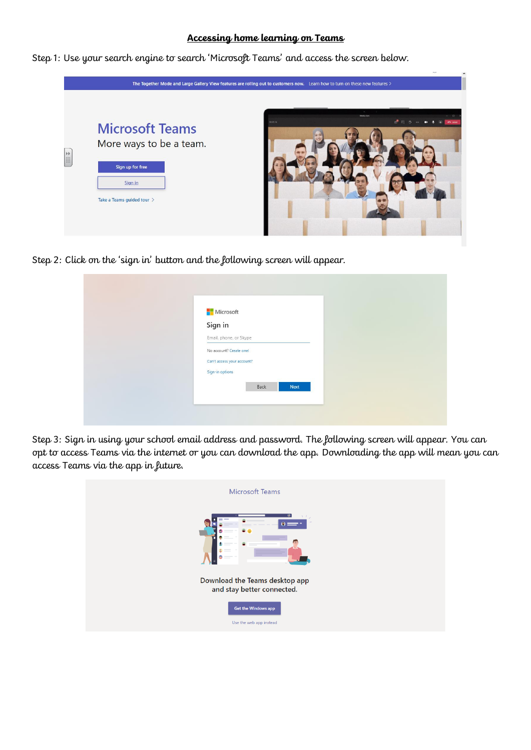## **Accessing home learning on Teams**

Step 1: Use your search engine to search 'Microsoft Teams' and access the screen below.



Step 2: Click on the 'sign in' button and the following screen will appear.

| <b>Microsoft</b>           |  |
|----------------------------|--|
| Sign in                    |  |
| Email, phone, or Skype     |  |
| No account? Create one!    |  |
| Can't access your account? |  |
| Sign-in options            |  |

Step 3: Sign in using your school email address and password. The following screen will appear. You can opt to access Teams via the internet or you can download the app. Downloading the app will mean you can access Teams via the app in future.

| <b>Microsoft Teams</b>                                                                                                                                                                                                                                                                                                                                                                                                                                                                                             |
|--------------------------------------------------------------------------------------------------------------------------------------------------------------------------------------------------------------------------------------------------------------------------------------------------------------------------------------------------------------------------------------------------------------------------------------------------------------------------------------------------------------------|
| Θ<br>$\bullet =$<br>m<br>面<br>$\frac{1}{2} \left( \frac{1}{2} \right) \left( \frac{1}{2} \right) \left( \frac{1}{2} \right) \left( \frac{1}{2} \right) \left( \frac{1}{2} \right) \left( \frac{1}{2} \right) \left( \frac{1}{2} \right) \left( \frac{1}{2} \right) \left( \frac{1}{2} \right) \left( \frac{1}{2} \right) \left( \frac{1}{2} \right) \left( \frac{1}{2} \right) \left( \frac{1}{2} \right) \left( \frac{1}{2} \right) \left( \frac{1}{2} \right) \left( \frac{1}{2} \right) \left( \frac$<br>_<br>Ø |
| Download the Teams desktop app<br>and stay better connected.                                                                                                                                                                                                                                                                                                                                                                                                                                                       |
| <b>Get the Windows app</b><br>Use the web app instead                                                                                                                                                                                                                                                                                                                                                                                                                                                              |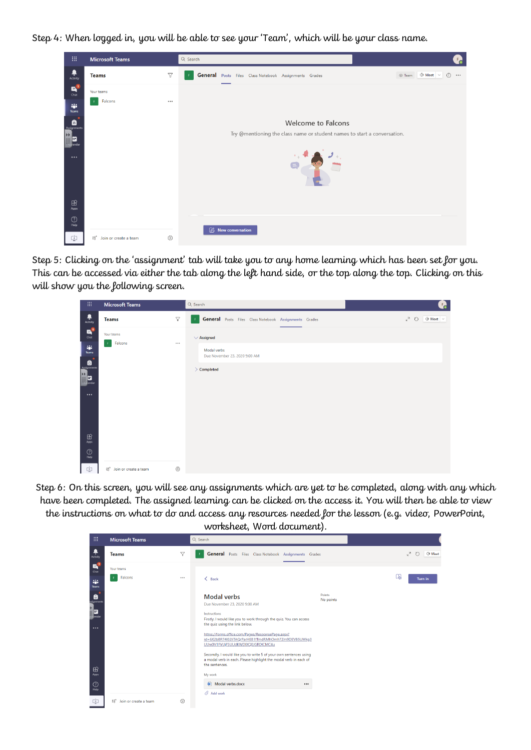Step 4: When logged in, you will be able to see your 'Team', which will be your class name.

| 靈                                                                                          | <b>Microsoft Teams</b>     |                 | Q Search                                                                                               |
|--------------------------------------------------------------------------------------------|----------------------------|-----------------|--------------------------------------------------------------------------------------------------------|
| $\begin{array}{c} \begin{array}{c} \bullet \\ \bullet \\ \end{array} \end{array}$ Activity | <b>Teams</b>               | $\triangledown$ | General Posts Files Class Notebook Assignments Grades<br>© Team © Meet V<br>$\odot$<br>-F.<br>$\cdots$ |
| $\mathbf{a}^0$<br>Chat                                                                     | Your teams                 |                 |                                                                                                        |
| ag.<br>Teams                                                                               | Falcons                    |                 |                                                                                                        |
| $\hat{\mathbf{B}}$                                                                         |                            |                 | <b>Welcome to Falcons</b>                                                                              |
| H<br>e<br>endar                                                                            |                            |                 | Try @mentioning the class name or student names to start a conversation.                               |
| $\cdots$                                                                                   |                            |                 |                                                                                                        |
| $\mathbb{B}$<br>Apps                                                                       |                            |                 |                                                                                                        |
| $^\circledR$<br>Help                                                                       |                            |                 | $\emptyset$ New conversation                                                                           |
| ¢                                                                                          | ខំបី Join or create a team | స్త్ర           |                                                                                                        |

Step 5: Clicking on the 'assignment' tab will take you to any home learning which has been set for you. This can be accessed via either the tab along the left hand side, or the top along the top. Clicking on this will show you the following screen.



Step 6: On this screen, you will see any assignments which are yet to be completed, along with any which have been completed. The assigned learning can be clicked on the access it. You will then be able to view the instructions on what to do and access any resources needed for the lesson (e.g. video, PowerPoint,